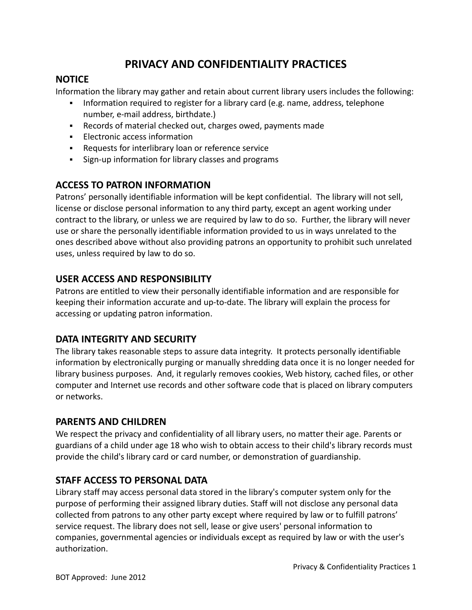# **PRIVACY AND CONFIDENTIALITY PRACTICES**

#### **NOTICE**

Information the library may gather and retain about current library users includes the following:

- Information required to register for a library card (e.g. name, address, telephone number, e-mail address, birthdate.)
- Records of material checked out, charges owed, payments made
- **Electronic access information**
- **-** Requests for interlibrary loan or reference service
- **Sign-up information for library classes and programs**

## **ACCESS TO PATRON INFORMATION**

Patrons' personally identifiable information will be kept confidential. The library will not sell, license or disclose personal information to any third party, except an agent working under contract to the library, or unless we are required by law to do so. Further, the library will never use or share the personally identifiable information provided to us in ways unrelated to the ones described above without also providing patrons an opportunity to prohibit such unrelated uses, unless required by law to do so.

## **USER ACCESS AND RESPONSIBILITY**

Patrons are entitled to view their personally identifiable information and are responsible for keeping their information accurate and up-to-date. The library will explain the process for accessing or updating patron information.

#### **DATA INTEGRITY AND SECURITY**

The library takes reasonable steps to assure data integrity. It protects personally identifiable information by electronically purging or manually shredding data once it is no longer needed for library business purposes. And, it regularly removes cookies, Web history, cached files, or other computer and Internet use records and other software code that is placed on library computers or networks.

#### **PARENTS AND CHILDREN**

We respect the privacy and confidentiality of all library users, no matter their age. Parents or guardians of a child under age 18 who wish to obtain access to their child's library records must provide the child's library card or card number, or demonstration of guardianship.

#### **STAFF ACCESS TO PERSONAL DATA**

Library staff may access personal data stored in the library's computer system only for the purpose of performing their assigned library duties. Staff will not disclose any personal data collected from patrons to any other party except where required by law or to fulfill patrons' service request. The library does not sell, lease or give users' personal information to companies, governmental agencies or individuals except as required by law or with the user's authorization.